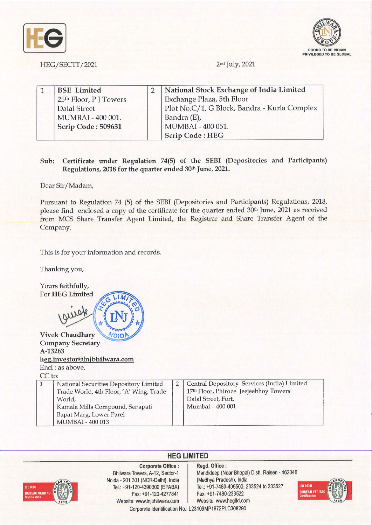



HEG/SECTT/2021 2nd July, 2021

|  | <b>BSE</b> Limited     | National Stock Exchange of India Limited     |
|--|------------------------|----------------------------------------------|
|  | 25th Floor, P J Towers | Exchange Plaza, 5th Floor                    |
|  | Dalal Street           | Plot No.C/1, G Block, Bandra - Kurla Complex |
|  | MUMBAI - 400 001.      | Bandra (E),                                  |
|  | Scrip Code: 509631     | MUMBAI - 400 051.                            |
|  |                        | <b>Scrip Code: HEG</b>                       |

## **Sub: Certificate under Regulation 74(5) of the SEBI (Depositories and Participants) Regulations, 2018 for the quarter ended 30th June, 2021.**

Dear Sir/Madam,

Pursuant to Regulation 74 (5) of the SEBI (Depositories and Participants) Regulations, 2018, please find enclosed a copy of the certificate for the quarter ended 30<sup>th</sup> June, 2021 as received from MCS Share Transfer Agent Limited, the Registrar and Share Transfer Agent of the Company.

This is for your information and records.

Thanking you,



## **HEG LIMITED**



MUMBAI - 400 013

**Corporate Office** : Bhilwara Towers, A-12, Sector-1 Noida - 201 301 (NCR-Delhi), India Tel.: +91-120-4390300 (EPABX) Fax: +91-120-4277841 Website: www.lnjbhilwara.com | Website: www.hegltd.com

**Regd. Office** : Mandideep (Near Bhopal) Distt. Raisen - 462046 (Madhya Pradesh), India Tel.: +91-7480-405500, 233524 to 233527 Fax: +91 -7480-233522



Corporate Identification No.: L23109MP1972PLC008290